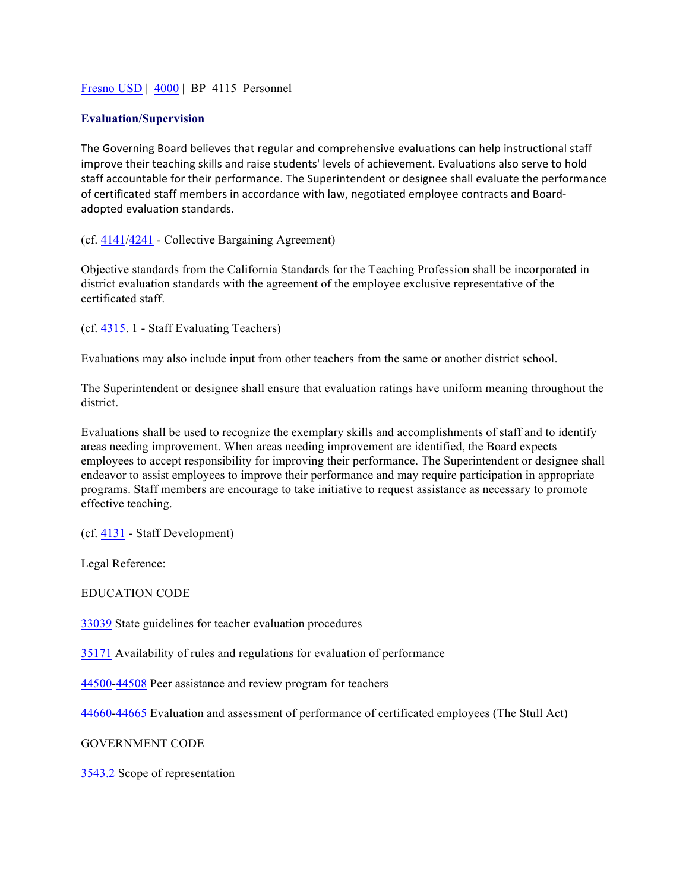## Fresno USD | 4000 | BP 4115 Personnel

## **Evaluation/Supervision**

The Governing Board believes that regular and comprehensive evaluations can help instructional staff improve their teaching skills and raise students' levels of achievement. Evaluations also serve to hold staff accountable for their performance. The Superintendent or designee shall evaluate the performance of certificated staff members in accordance with law, negotiated employee contracts and Boardadopted evaluation standards.

(cf. 4141/4241 - Collective Bargaining Agreement)

Objective standards from the California Standards for the Teaching Profession shall be incorporated in district evaluation standards with the agreement of the employee exclusive representative of the certificated staff.

(cf. 4315. 1 - Staff Evaluating Teachers)

Evaluations may also include input from other teachers from the same or another district school.

The Superintendent or designee shall ensure that evaluation ratings have uniform meaning throughout the district.

Evaluations shall be used to recognize the exemplary skills and accomplishments of staff and to identify areas needing improvement. When areas needing improvement are identified, the Board expects employees to accept responsibility for improving their performance. The Superintendent or designee shall endeavor to assist employees to improve their performance and may require participation in appropriate programs. Staff members are encourage to take initiative to request assistance as necessary to promote effective teaching.

(cf. 4131 - Staff Development)

Legal Reference:

EDUCATION CODE

33039 State guidelines for teacher evaluation procedures

35171 Availability of rules and regulations for evaluation of performance

44500-44508 Peer assistance and review program for teachers

44660-44665 Evaluation and assessment of performance of certificated employees (The Stull Act)

GOVERNMENT CODE

3543.2 Scope of representation